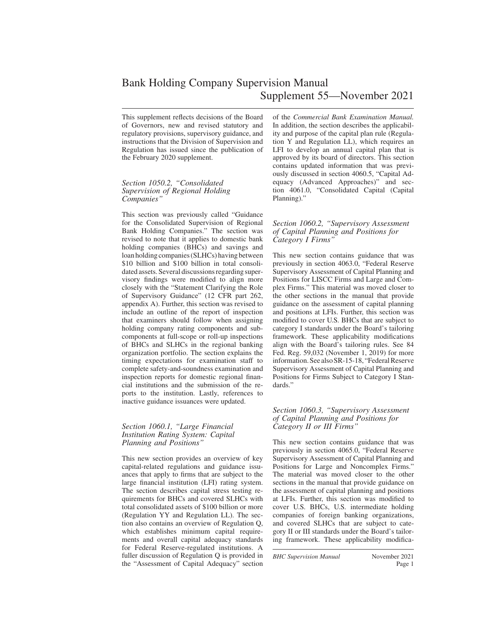This supplement reflects decisions of the Board of Governors, new and revised statutory and regulatory provisions, supervisory guidance, and instructions that the Division of Supervision and Regulation has issued since the publication of the February 2020 supplement.

#### *Section 1050.2, "Consolidated Supervision of Regional Holding Companies"*

This section was previously called "Guidance for the Consolidated Supervision of Regional Bank Holding Companies." The section was revised to note that it applies to domestic bank holding companies (BHCs) and savings and loan holding companies (SLHCs) having between \$10 billion and \$100 billion in total consolidated assets. Several discussions regarding supervisory findings were modified to align more closely with the "Statement Clarifying the Role of Supervisory Guidance" (12 CFR part 262, appendix A). Further, this section was revised to include an outline of the report of inspection that examiners should follow when assigning holding company rating components and subcomponents at full-scope or roll-up inspections of BHCs and SLHCs in the regional banking organization portfolio. The section explains the timing expectations for examination staff to complete safety-and-soundness examination and inspection reports for domestic regional financial institutions and the submission of the reports to the institution. Lastly, references to inactive guidance issuances were updated.

#### *Section 1060.1, "Large Financial Institution Rating System: Capital Planning and Positions"*

This new section provides an overview of key capital-related regulations and guidance issuances that apply to firms that are subject to the large financial institution (LFI) rating system. The section describes capital stress testing requirements for BHCs and covered SLHCs with total consolidated assets of \$100 billion or more (Regulation YY and Regulation LL). The section also contains an overview of Regulation Q, which establishes minimum capital requirements and overall capital adequacy standards for Federal Reserve-regulated institutions. A fuller discussion of Regulation Q is provided in the "Assessment of Capital Adequacy" section of the *Commercial Bank Examination Manual.* In addition, the section describes the applicability and purpose of the capital plan rule (Regulation Y and Regulation LL), which requires an LFI to develop an annual capital plan that is approved by its board of directors. This section contains updated information that was previously discussed in section 4060.5, "Capital Adequacy (Advanced Approaches)" and section 4061.0, "Consolidated Capital (Capital Planning)."

#### *Section 1060.2, "Supervisory Assessment of Capital Planning and Positions for Category I Firms"*

This new section contains guidance that was previously in section 4063.0, "Federal Reserve Supervisory Assessment of Capital Planning and Positions for LISCC Firms and Large and Complex Firms." This material was moved closer to the other sections in the manual that provide guidance on the assessment of capital planning and positions at LFIs. Further, this section was modified to cover U.S. BHCs that are subject to category I standards under the Board's tailoring framework. These applicability modifications align with the Board's tailoring rules. See 84 Fed. Reg. 59,032 (November 1, 2019) for more information. See also SR-15-18, "Federal Reserve Supervisory Assessment of Capital Planning and Positions for Firms Subject to Category I Standards."

#### *Section 1060.3, "Supervisory Assessment of Capital Planning and Positions for Category II or III Firms"*

This new section contains guidance that was previously in section 4065.0, "Federal Reserve Supervisory Assessment of Capital Planning and Positions for Large and Noncomplex Firms." The material was moved closer to the other sections in the manual that provide guidance on the assessment of capital planning and positions at LFIs. Further, this section was modified to cover U.S. BHCs, U.S. intermediate holding companies of foreign banking organizations, and covered SLHCs that are subject to category II or III standards under the Board's tailoring framework. These applicability modifica-

*BHC Supervision Manual* November 2021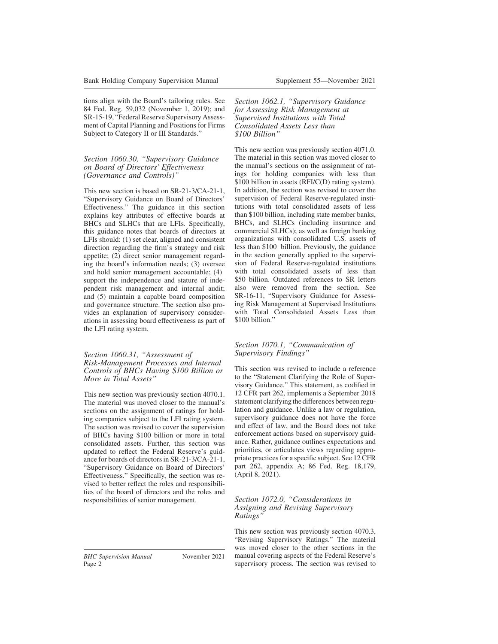tions align with the Board's tailoring rules. See 84 Fed. Reg. 59,032 (November 1, 2019); and SR-15-19, "Federal Reserve Supervisory Assessment of Capital Planning and Positions for Firms Subject to Category II or III Standards."

#### *Section 1060.30, "Supervisory Guidance on Board of Directors' Effectiveness (Governance and Controls)"*

This new section is based on SR-21-3/CA-21-1, "Supervisory Guidance on Board of Directors' Effectiveness." The guidance in this section explains key attributes of effective boards at BHCs and SLHCs that are LFIs. Specifically, this guidance notes that boards of directors at LFIs should: (1) set clear, aligned and consistent direction regarding the firm's strategy and risk appetite; (2) direct senior management regarding the board's information needs; (3) oversee and hold senior management accountable; (4) support the independence and stature of independent risk management and internal audit; and (5) maintain a capable board composition and governance structure. The section also provides an explanation of supervisory considerations in assessing board effectiveness as part of the LFI rating system.

#### *Section 1060.31, "Assessment of Risk-Management Processes and Internal Controls of BHCs Having \$100 Billion or More in Total Assets"*

This new section was previously section 4070.1. The material was moved closer to the manual's sections on the assignment of ratings for holding companies subject to the LFI rating system. The section was revised to cover the supervision of BHCs having \$100 billion or more in total consolidated assets. Further, this section was updated to reflect the Federal Reserve's guidance for boards of directors in SR-21-3/CA-21-1, "Supervisory Guidance on Board of Directors' Effectiveness." Specifically, the section was revised to better reflect the roles and responsibilities of the board of directors and the roles and responsibilities of senior management.

*Section 1062.1, "Supervisory Guidance for Assessing Risk Management at Supervised Institutions with Total Consolidated Assets Less than \$100 Billion"*

This new section was previously section 4071.0. The material in this section was moved closer to the manual's sections on the assignment of ratings for holding companies with less than \$100 billion in assets (RFI/C(D) rating system). In addition, the section was revised to cover the supervision of Federal Reserve-regulated institutions with total consolidated assets of less than \$100 billion, including state member banks, BHCs, and SLHCs (including insurance and commercial SLHCs); as well as foreign banking organizations with consolidated U.S. assets of less than \$100 billion. Previously, the guidance in the section generally applied to the supervision of Federal Reserve-regulated institutions with total consolidated assets of less than \$50 billion. Outdated references to SR letters also were removed from the section. See SR-16-11, "Supervisory Guidance for Assessing Risk Management at Supervised Institutions with Total Consolidated Assets Less than \$100 billion."

### *Section 1070.1, "Communication of Supervisory Findings"*

This section was revised to include a reference to the "Statement Clarifying the Role of Supervisory Guidance." This statement, as codified in 12 CFR part 262, implements a September 2018 statement clarifying the differences between regulation and guidance. Unlike a law or regulation, supervisory guidance does not have the force and effect of law, and the Board does not take enforcement actions based on supervisory guidance. Rather, guidance outlines expectations and priorities, or articulates views regarding appropriate practices for a specific subject. See 12 CFR part 262, appendix A; 86 Fed. Reg. 18,179, (April 8, 2021).

#### *Section 1072.0, "Considerations in Assigning and Revising Supervisory Ratings"*

This new section was previously section 4070.3, "Revising Supervisory Ratings." The material was moved closer to the other sections in the manual covering aspects of the Federal Reserve's supervisory process. The section was revised to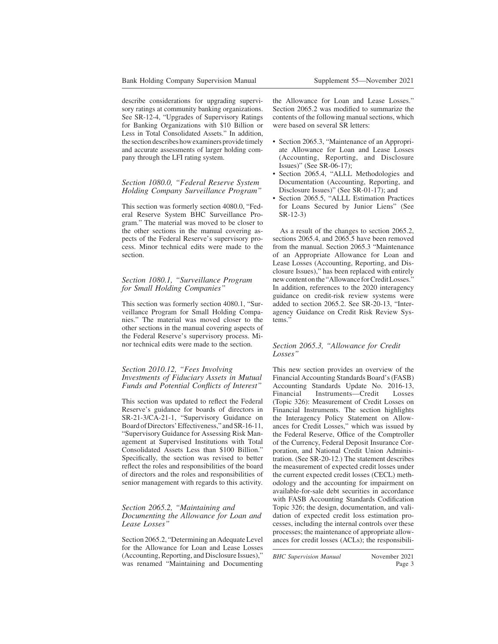describe considerations for upgrading supervisory ratings at community banking organizations. See SR-12-4, "Upgrades of Supervisory Ratings for Banking Organizations with \$10 Billion or Less in Total Consolidated Assets." In addition, the section describes how examiners provide timely and accurate assessments of larger holding company through the LFI rating system.

#### *Section 1080.0, "Federal Reserve System Holding Company Surveillance Program"*

This section was formerly section 4080.0, "Federal Reserve System BHC Surveillance Program." The material was moved to be closer to the other sections in the manual covering aspects of the Federal Reserve's supervisory process. Minor technical edits were made to the section.

#### *Section 1080.1, "Surveillance Program for Small Holding Companies"*

This section was formerly section 4080.1, "Surveillance Program for Small Holding Companies." The material was moved closer to the other sections in the manual covering aspects of the Federal Reserve's supervisory process. Minor technical edits were made to the section.

#### *Section 2010.12, "Fees Involving Investments of Fiduciary Assets in Mutual Funds and Potential Conflicts of Interest"*

This section was updated to reflect the Federal Reserve's guidance for boards of directors in SR-21-3/CA-21-1, "Supervisory Guidance on Board of Directors' Effectiveness," and SR-16-11, "Supervisory Guidance for Assessing Risk Management at Supervised Institutions with Total Consolidated Assets Less than \$100 Billion." Specifically, the section was revised to better reflect the roles and responsibilities of the board of directors and the roles and responsibilities of senior management with regards to this activity.

#### *Section 2065.2, "Maintaining and Documenting the Allowance for Loan and Lease Losses"*

Section 2065.2, "Determining an Adequate Level for the Allowance for Loan and Lease Losses (Accounting, Reporting, and Disclosure Issues)," was renamed "Maintaining and Documenting the Allowance for Loan and Lease Losses." Section 2065.2 was modified to summarize the contents of the following manual sections, which were based on several SR letters:

- Section 2065.3, "Maintenance of an Appropriate Allowance for Loan and Lease Losses (Accounting, Reporting, and Disclosure Issues)" (See SR-06-17);
- Section 2065.4, "ALLL Methodologies and Documentation (Accounting, Reporting, and Disclosure Issues)" (See SR-01-17); and
- Section 2065.5, "ALLL Estimation Practices for Loans Secured by Junior Liens" (See SR-12-3)

As a result of the changes to section 2065.2, sections 2065.4, and 2065.5 have been removed from the manual. Section 2065.3 "Maintenance of an Appropriate Allowance for Loan and Lease Losses (Accounting, Reporting, and Disclosure Issues)," has been replaced with entirely new content on the "Allowance for Credit Losses." In addition, references to the 2020 interagency guidance on credit-risk review systems were added to section 2065.2. See SR-20-13, "Interagency Guidance on Credit Risk Review Systems."

#### *Section 2065.3, "Allowance for Credit Losses"*

This new section provides an overview of the Financial Accounting Standards Board's (FASB) Accounting Standards Update No. 2016-13, Financial Instruments—Credit Losses (Topic 326): Measurement of Credit Losses on Financial Instruments. The section highlights the Interagency Policy Statement on Allowances for Credit Losses," which was issued by the Federal Reserve, Office of the Comptroller of the Currency, Federal Deposit Insurance Corporation, and National Credit Union Administration. (See SR-20-12.) The statement describes the measurement of expected credit losses under the current expected credit losses (CECL) methodology and the accounting for impairment on available-for-sale debt securities in accordance with FASB Accounting Standards Codification Topic 326; the design, documentation, and validation of expected credit loss estimation processes, including the internal controls over these processes; the maintenance of appropriate allowances for credit losses (ACLs); the responsibili-

*BHC Supervision Manual* November 2021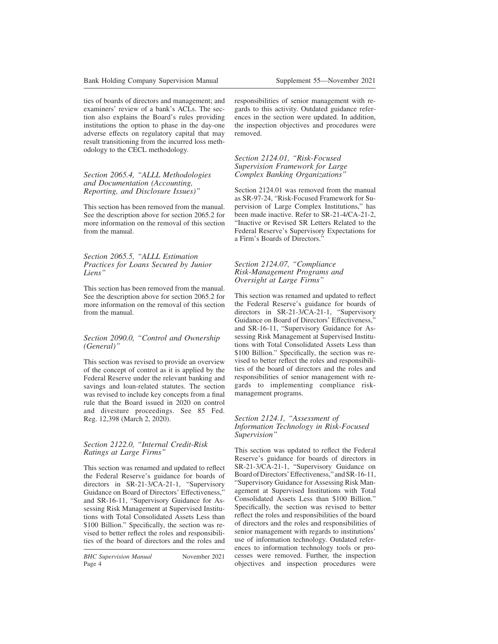ties of boards of directors and management; and examiners' review of a bank's ACLs. The section also explains the Board's rules providing institutions the option to phase in the day-one adverse effects on regulatory capital that may result transitioning from the incurred loss methodology to the CECL methodology.

#### *Section 2065.4, "ALLL Methodologies and Documentation (Accounting, Reporting, and Disclosure Issues)"*

This section has been removed from the manual. See the description above for section 2065.2 for more information on the removal of this section from the manual.

#### *Section 2065.5, "ALLL Estimation Practices for Loans Secured by Junior Liens"*

This section has been removed from the manual. See the description above for section 2065.2 for more information on the removal of this section from the manual.

### *Section 2090.0, "Control and Ownership (General)"*

This section was revised to provide an overview of the concept of control as it is applied by the Federal Reserve under the relevant banking and savings and loan-related statutes. The section was revised to include key concepts from a final rule that the Board issued in 2020 on control and divesture proceedings. See 85 Fed. Reg. 12,398 (March 2, 2020).

#### *Section 2122.0, "Internal Credit-Risk Ratings at Large Firms"*

This section was renamed and updated to reflect the Federal Reserve's guidance for boards of directors in SR-21-3/CA-21-1, "Supervisory Guidance on Board of Directors' Effectiveness," and SR-16-11, "Supervisory Guidance for Assessing Risk Management at Supervised Institutions with Total Consolidated Assets Less than \$100 Billion." Specifically, the section was revised to better reflect the roles and responsibilities of the board of directors and the roles and

responsibilities of senior management with regards to this activity. Outdated guidance references in the section were updated. In addition, the inspection objectives and procedures were removed.

#### *Section 2124.01, "Risk-Focused Supervision Framework for Large Complex Banking Organizations"*

Section 2124.01 was removed from the manual as SR-97-24, "Risk-Focused Framework for Supervision of Large Complex Institutions," has been made inactive. Refer to SR-21-4/CA-21-2, "Inactive or Revised SR Letters Related to the Federal Reserve's Supervisory Expectations for a Firm's Boards of Directors."

#### *Section 2124.07, "Compliance Risk-Management Programs and Oversight at Large Firms"*

This section was renamed and updated to reflect the Federal Reserve's guidance for boards of directors in SR-21-3/CA-21-1, "Supervisory Guidance on Board of Directors' Effectiveness," and SR-16-11, "Supervisory Guidance for Assessing Risk Management at Supervised Institutions with Total Consolidated Assets Less than \$100 Billion." Specifically, the section was revised to better reflect the roles and responsibilities of the board of directors and the roles and responsibilities of senior management with regards to implementing compliance riskmanagement programs.

#### *Section 2124.1, "Assessment of Information Technology in Risk-Focused Supervision"*

This section was updated to reflect the Federal Reserve's guidance for boards of directors in SR-21-3/CA-21-1, "Supervisory Guidance on BoardofDirectors'Effectiveness,"andSR-16-11, "Supervisory Guidance for Assessing Risk Management at Supervised Institutions with Total Consolidated Assets Less than \$100 Billion." Specifically, the section was revised to better reflect the roles and responsibilities of the board of directors and the roles and responsibilities of senior management with regards to institutions' use of information technology. Outdated references to information technology tools or processes were removed. Further, the inspection objectives and inspection procedures were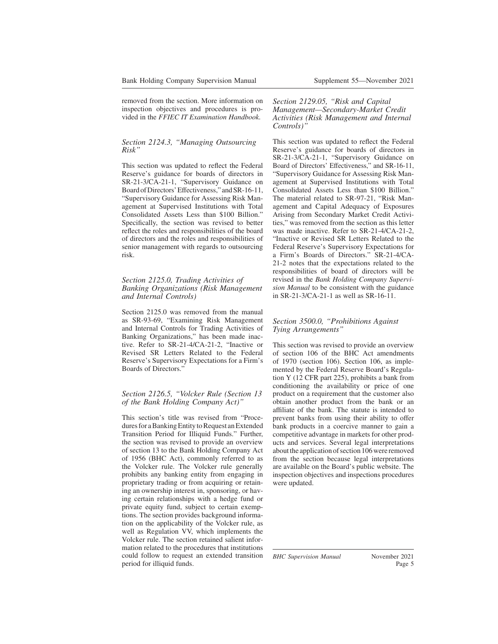removed from the section. More information on inspection objectives and procedures is provided in the *FFIEC IT Examination Handbook.*

#### *Section 2124.3, "Managing Outsourcing Risk"*

This section was updated to reflect the Federal Reserve's guidance for boards of directors in SR-21-3/CA-21-1, "Supervisory Guidance on BoardofDirectors'Effectiveness,"andSR-16-11, "Supervisory Guidance for Assessing Risk Management at Supervised Institutions with Total Consolidated Assets Less than \$100 Billion." Specifically, the section was revised to better reflect the roles and responsibilities of the board of directors and the roles and responsibilities of senior management with regards to outsourcing risk.

#### *Section 2125.0, Trading Activities of Banking Organizations (Risk Management and Internal Controls)*

Section 2125.0 was removed from the manual as SR-93-69, "Examining Risk Management and Internal Controls for Trading Activities of Banking Organizations," has been made inactive. Refer to SR-21-4/CA-21-2, "Inactive or Revised SR Letters Related to the Federal Reserve's Supervisory Expectations for a Firm's Boards of Directors."

#### *Section 2126.5, "Volcker Rule (Section 13 of the Bank Holding Company Act)"*

This section's title was revised from "Procedures for a Banking Entity to Request an Extended Transition Period for Illiquid Funds." Further, the section was revised to provide an overview of section 13 to the Bank Holding Company Act of 1956 (BHC Act), commonly referred to as the Volcker rule. The Volcker rule generally prohibits any banking entity from engaging in proprietary trading or from acquiring or retaining an ownership interest in, sponsoring, or having certain relationships with a hedge fund or private equity fund, subject to certain exemptions. The section provides background information on the applicability of the Volcker rule, as well as Regulation VV, which implements the Volcker rule. The section retained salient information related to the procedures that institutions could follow to request an extended transition period for illiquid funds.

#### *Section 2129.05, "Risk and Capital Management—Secondary-Market Credit Activities (Risk Management and Internal Controls)"*

This section was updated to reflect the Federal Reserve's guidance for boards of directors in SR-21-3/CA-21-1, "Supervisory Guidance on Board of Directors' Effectiveness," and SR-16-11, "Supervisory Guidance for Assessing Risk Management at Supervised Institutions with Total Consolidated Assets Less than \$100 Billion." The material related to SR-97-21, "Risk Management and Capital Adequacy of Exposures Arising from Secondary Market Credit Activities," was removed from the section as this letter was made inactive. Refer to SR-21-4/CA-21-2, "Inactive or Revised SR Letters Related to the Federal Reserve's Supervisory Expectations for a Firm's Boards of Directors." SR-21-4/CA-21-2 notes that the expectations related to the responsibilities of board of directors will be revised in the *Bank Holding Company Supervision Manual* to be consistent with the guidance in SR-21-3/CA-21-1 as well as SR-16-11.

#### *Section 3500.0, "Prohibitions Against Tying Arrangements"*

This section was revised to provide an overview of section 106 of the BHC Act amendments of 1970 (section 106). Section 106, as implemented by the Federal Reserve Board's Regulation Y (12 CFR part 225), prohibits a bank from conditioning the availability or price of one product on a requirement that the customer also obtain another product from the bank or an affiliate of the bank. The statute is intended to prevent banks from using their ability to offer bank products in a coercive manner to gain a competitive advantage in markets for other products and services. Several legal interpretations about the application of section 106 were removed from the section because legal interpretations are available on the Board's public website. The inspection objectives and inspections procedures were updated.

*BHC Supervision Manual* November 2021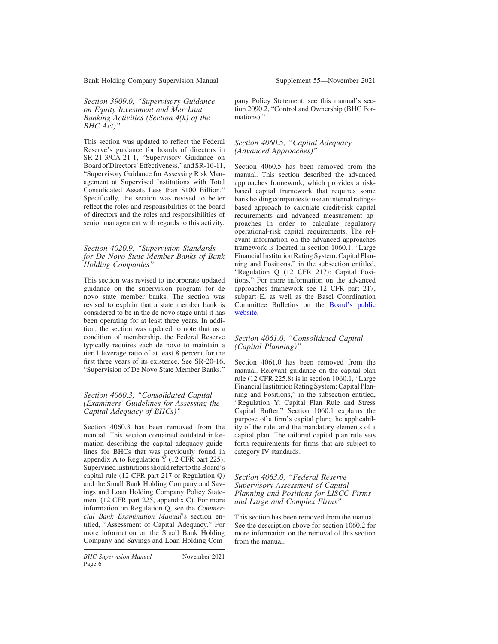*Section 3909.0, "Supervisory Guidance on Equity Investment and Merchant Banking Activities (Section 4(k) of the BHC Act)"*

This section was updated to reflect the Federal Reserve's guidance for boards of directors in SR-21-3/CA-21-1, "Supervisory Guidance on BoardofDirectors'Effectiveness,"andSR-16-11, "Supervisory Guidance for Assessing Risk Management at Supervised Institutions with Total Consolidated Assets Less than \$100 Billion." Specifically, the section was revised to better reflect the roles and responsibilities of the board of directors and the roles and responsibilities of senior management with regards to this activity.

#### *Section 4020.9, "Supervision Standards for De Novo State Member Banks of Bank Holding Companies"*

This section was revised to incorporate updated guidance on the supervision program for de novo state member banks. The section was revised to explain that a state member bank is considered to be in the de novo stage until it has been operating for at least three years. In addition, the section was updated to note that as a condition of membership, the Federal Reserve typically requires each de novo to maintain a tier 1 leverage ratio of at least 8 percent for the first three years of its existence. See SR-20-16, "Supervision of De Novo State Member Banks."

#### *Section 4060.3, "Consolidated Capital (Examiners' Guidelines for Assessing the Capital Adequacy of BHCs)"*

Section 4060.3 has been removed from the manual. This section contained outdated information describing the capital adequacy guidelines for BHCs that was previously found in appendix A to Regulation Y (12 CFR part 225). Supervised institutions should refer to the Board's capital rule (12 CFR part 217 or Regulation Q) and the Small Bank Holding Company and Savings and Loan Holding Company Policy Statement (12 CFR part 225, appendix C). For more information on Regulation Q, see the *Commercial Bank Examination Manual*'s section entitled, "Assessment of Capital Adequacy." For more information on the Small Bank Holding Company and Savings and Loan Holding Company Policy Statement, see this manual's section 2090.2, "Control and Ownership (BHC Formations)."

## *Section 4060.5, "Capital Adequacy (Advanced Approaches)"*

Section 4060.5 has been removed from the manual. This section described the advanced approaches framework, which provides a riskbased capital framework that requires some bank holding companies to use an internal ratingsbased approach to calculate credit-risk capital requirements and advanced measurement approaches in order to calculate regulatory operational-risk capital requirements. The relevant information on the advanced approaches framework is located in section 1060.1, "Large Financial Institution Rating System: Capital Planning and Positions," in the subsection entitled, "Regulation Q (12 CFR 217): Capital Positions." For more information on the advanced approaches framework see 12 CFR part 217, subpart E, as well as the Basel Coordination Committee Bulletins on the [Board's public](https://www.federalreserve.gov/supervisionreg/basel/basel-coordination-committee-bulletins.htm) [website.](https://www.federalreserve.gov/supervisionreg/basel/basel-coordination-committee-bulletins.htm)

## *Section 4061.0, "Consolidated Capital (Capital Planning)"*

Section 4061.0 has been removed from the manual. Relevant guidance on the capital plan rule (12 CFR 225.8) is in section 1060.1, "Large Financial Institution Rating System: Capital Planning and Positions," in the subsection entitled, "Regulation Y: Capital Plan Rule and Stress Capital Buffer." Section 1060.1 explains the purpose of a firm's capital plan; the applicability of the rule; and the mandatory elements of a capital plan. The tailored capital plan rule sets forth requirements for firms that are subject to category IV standards.

*Section 4063.0, "Federal Reserve Supervisory Assessment of Capital Planning and Positions for LISCC Firms and Large and Complex Firms"*

This section has been removed from the manual. See the description above for section 1060.2 for more information on the removal of this section from the manual.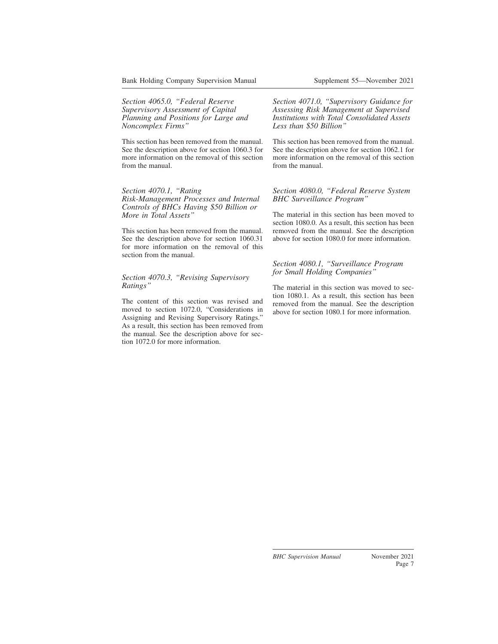*Section 4065.0, "Federal Reserve Supervisory Assessment of Capital Planning and Positions for Large and Noncomplex Firms"*

This section has been removed from the manual. See the description above for section 1060.3 for more information on the removal of this section from the manual.

#### *Section 4070.1, "Rating Risk-Management Processes and Internal Controls of BHCs Having \$50 Billion or More in Total Assets"*

This section has been removed from the manual. See the description above for section 1060.31 for more information on the removal of this section from the manual.

#### *Section 4070.3, "Revising Supervisory Ratings"*

The content of this section was revised and moved to section 1072.0, "Considerations in Assigning and Revising Supervisory Ratings." As a result, this section has been removed from the manual. See the description above for section 1072.0 for more information.

*Section 4071.0, "Supervisory Guidance for Assessing Risk Management at Supervised Institutions with Total Consolidated Assets Less than \$50 Billion"*

This section has been removed from the manual. See the description above for section 1062.1 for more information on the removal of this section from the manual.

#### *Section 4080.0, "Federal Reserve System BHC Surveillance Program"*

The material in this section has been moved to section 1080.0. As a result, this section has been removed from the manual. See the description above for section 1080.0 for more information.

#### *Section 4080.1, "Surveillance Program for Small Holding Companies"*

The material in this section was moved to section 1080.1. As a result, this section has been removed from the manual. See the description above for section 1080.1 for more information.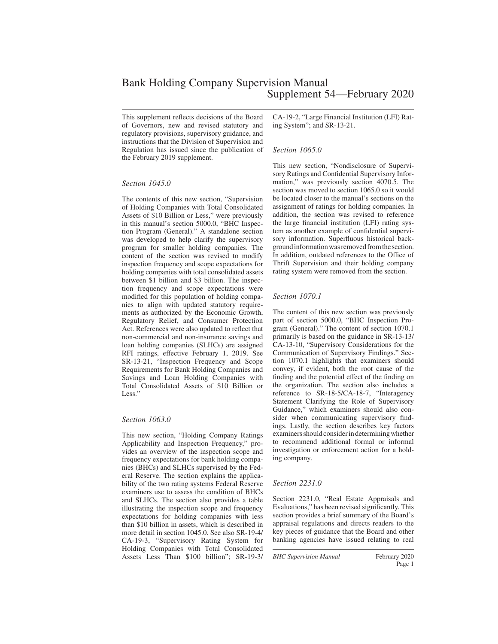# Bank Holding Company Supervision Manual Supplement 54—February 2020

This supplement reflects decisions of the Board of Governors, new and revised statutory and regulatory provisions, supervisory guidance, and instructions that the Division of Supervision and Regulation has issued since the publication of the February 2019 supplement.

#### *Section 1045.0*

The contents of this new section, "Supervision of Holding Companies with Total Consolidated Assets of \$10 Billion or Less," were previously in this manual's section 5000.0, "BHC Inspection Program (General)." A standalone section was developed to help clarify the supervisory program for smaller holding companies. The content of the section was revised to modify inspection frequency and scope expectations for holding companies with total consolidated assets between \$1 billion and \$3 billion. The inspection frequency and scope expectations were modified for this population of holding companies to align with updated statutory requirements as authorized by the Economic Growth, Regulatory Relief, and Consumer Protection Act. References were also updated to reflect that non-commercial and non-insurance savings and loan holding companies (SLHCs) are assigned RFI ratings, effective February 1, 2019. See SR-13-21, "Inspection Frequency and Scope Requirements for Bank Holding Companies and Savings and Loan Holding Companies with Total Consolidated Assets of \$10 Billion or Less."

#### *Section 1063.0*

This new section, "Holding Company Ratings Applicability and Inspection Frequency," provides an overview of the inspection scope and frequency expectations for bank holding companies (BHCs) and SLHCs supervised by the Federal Reserve. The section explains the applicability of the two rating systems Federal Reserve examiners use to assess the condition of BHCs and SLHCs. The section also provides a table illustrating the inspection scope and frequency expectations for holding companies with less than \$10 billion in assets, which is described in more detail in section 1045.0. See also SR-19-4/ CA-19-3, "Supervisory Rating System for Holding Companies with Total Consolidated Assets Less Than \$100 billion"; SR-19-3/ CA-19-2, "Large Financial Institution (LFI) Rating System"; and SR-13-21.

#### *Section 1065.0*

This new section, "Nondisclosure of Supervisory Ratings and Confidential Supervisory Information," was previously section 4070.5. The section was moved to section 1065.0 so it would be located closer to the manual's sections on the assignment of ratings for holding companies. In addition, the section was revised to reference the large financial institution (LFI) rating system as another example of confidential supervisory information. Superfluous historical background information was removed from the section. In addition, outdated references to the Office of Thrift Supervision and their holding company rating system were removed from the section.

### *Section 1070.1*

The content of this new section was previously part of section 5000.0, "BHC Inspection Program (General)." The content of section 1070.1 primarily is based on the guidance in SR-13-13/ CA-13-10, "Supervisory Considerations for the Communication of Supervisory Findings." Section 1070.1 highlights that examiners should convey, if evident, both the root cause of the finding and the potential effect of the finding on the organization. The section also includes a reference to SR-18-5/CA-18-7, "Interagency Statement Clarifying the Role of Supervisory Guidance," which examiners should also consider when communicating supervisory findings. Lastly, the section describes key factors examiners should consider in determining whether to recommend additional formal or informal investigation or enforcement action for a holding company.

#### *Section 2231.0*

Section 2231.0, "Real Estate Appraisals and Evaluations," has been revised significantly. This section provides a brief summary of the Board's appraisal regulations and directs readers to the key pieces of guidance that the Board and other banking agencies have issued relating to real

*BHC Supervision Manual* February 2020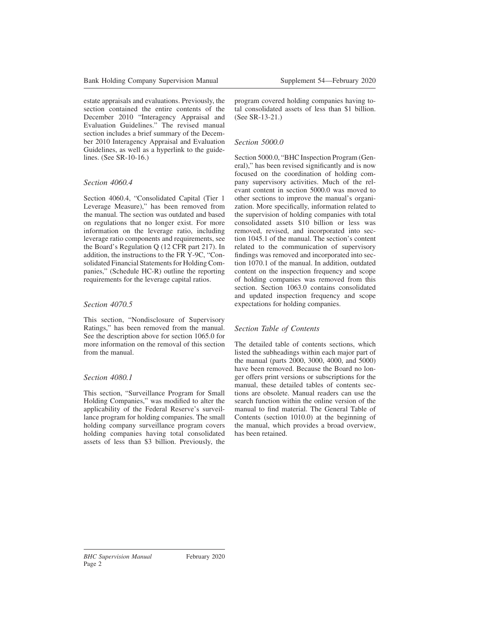estate appraisals and evaluations. Previously, the section contained the entire contents of the December 2010 "Interagency Appraisal and Evaluation Guidelines." The revised manual section includes a brief summary of the December 2010 Interagency Appraisal and Evaluation Guidelines, as well as a hyperlink to the guidelines. (See SR-10-16.)

## *Section 4060.4*

Section 4060.4, "Consolidated Capital (Tier 1 Leverage Measure)," has been removed from the manual. The section was outdated and based on regulations that no longer exist. For more information on the leverage ratio, including leverage ratio components and requirements, see the Board's Regulation Q (12 CFR part 217). In addition, the instructions to the FR Y-9C, "Consolidated Financial Statements for Holding Companies," (Schedule HC-R) outline the reporting requirements for the leverage capital ratios.

## *Section 4070.5*

This section, "Nondisclosure of Supervisory Ratings," has been removed from the manual. See the description above for section 1065.0 for more information on the removal of this section from the manual.

## *Section 4080.1*

This section, "Surveillance Program for Small Holding Companies," was modified to alter the applicability of the Federal Reserve's surveillance program for holding companies. The small holding company surveillance program covers holding companies having total consolidated assets of less than \$3 billion. Previously, the program covered holding companies having total consolidated assets of less than \$1 billion. (See SR-13-21.)

## *Section 5000.0*

Section 5000.0, "BHC Inspection Program (General)," has been revised significantly and is now focused on the coordination of holding company supervisory activities. Much of the relevant content in section 5000.0 was moved to other sections to improve the manual's organization. More specifically, information related to the supervision of holding companies with total consolidated assets \$10 billion or less was removed, revised, and incorporated into section 1045.1 of the manual. The section's content related to the communication of supervisory findings was removed and incorporated into section 1070.1 of the manual. In addition, outdated content on the inspection frequency and scope of holding companies was removed from this section. Section 1063.0 contains consolidated and updated inspection frequency and scope expectations for holding companies.

## *Section Table of Contents*

The detailed table of contents sections, which listed the subheadings within each major part of the manual (parts 2000, 3000, 4000, and 5000) have been removed. Because the Board no longer offers print versions or subscriptions for the manual, these detailed tables of contents sections are obsolete. Manual readers can use the search function within the online version of the manual to find material. The General Table of Contents (section 1010.0) at the beginning of the manual, which provides a broad overview, has been retained.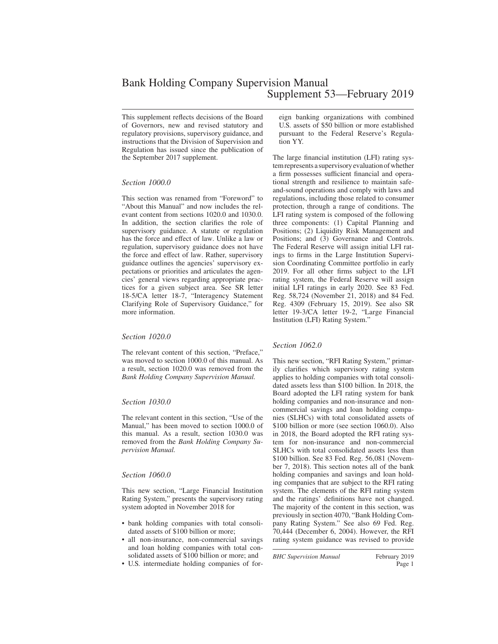# Bank Holding Company Supervision Manual Supplement 53—February 2019

This supplement reflects decisions of the Board of Governors, new and revised statutory and regulatory provisions, supervisory guidance, and instructions that the Division of Supervision and Regulation has issued since the publication of the September 2017 supplement.

### *Section 1000.0*

This section was renamed from "Foreword" to "About this Manual" and now includes the relevant content from sections 1020.0 and 1030.0. In addition, the section clarifies the role of supervisory guidance. A statute or regulation has the force and effect of law. Unlike a law or regulation, supervisory guidance does not have the force and effect of law. Rather, supervisory guidance outlines the agencies' supervisory expectations or priorities and articulates the agencies' general views regarding appropriate practices for a given subject area. See SR letter 18-5/CA letter 18-7, "Interagency Statement Clarifying Role of Supervisory Guidance," for more information.

#### *Section 1020.0*

The relevant content of this section, "Preface," was moved to section 1000.0 of this manual. As a result, section 1020.0 was removed from the *Bank Holding Company Supervision Manual.*

#### *Section 1030.0*

The relevant content in this section, "Use of the Manual," has been moved to section 1000.0 of this manual. As a result, section 1030.0 was removed from the *Bank Holding Company Supervision Manual.*

## *Section 1060.0*

This new section, "Large Financial Institution Rating System," presents the supervisory rating system adopted in November 2018 for

- bank holding companies with total consolidated assets of \$100 billion or more;
- all non-insurance, non-commercial savings and loan holding companies with total consolidated assets of \$100 billion or more; and
- U.S. intermediate holding companies of for-

eign banking organizations with combined U.S. assets of \$50 billion or more established pursuant to the Federal Reserve's Regulation YY.

The large financial institution (LFI) rating system represents a supervisory evaluation of whether a firm possesses sufficient financial and operational strength and resilience to maintain safeand-sound operations and comply with laws and regulations, including those related to consumer protection, through a range of conditions. The LFI rating system is composed of the following three components: (1) Capital Planning and Positions; (2) Liquidity Risk Management and Positions; and (3) Governance and Controls. The Federal Reserve will assign initial LFI ratings to firms in the Large Institution Supervision Coordinating Committee portfolio in early 2019. For all other firms subject to the LFI rating system, the Federal Reserve will assign initial LFI ratings in early 2020. See 83 Fed. Reg. 58,724 (November 21, 2018) and 84 Fed. Reg. 4309 (February 15, 2019). See also SR letter 19-3/CA letter 19-2, "Large Financial Institution (LFI) Rating System."

## *Section 1062.0*

This new section, "RFI Rating System," primarily clarifies which supervisory rating system applies to holding companies with total consolidated assets less than \$100 billion. In 2018, the Board adopted the LFI rating system for bank holding companies and non-insurance and noncommercial savings and loan holding companies (SLHCs) with total consolidated assets of \$100 billion or more (see section 1060.0). Also in 2018, the Board adopted the RFI rating system for non-insurance and non-commercial SLHCs with total consolidated assets less than \$100 billion. See 83 Fed. Reg. 56,081 (November 7, 2018). This section notes all of the bank holding companies and savings and loan holding companies that are subject to the RFI rating system. The elements of the RFI rating system and the ratings' definitions have not changed. The majority of the content in this section, was previously in section 4070, "Bank Holding Company Rating System." See also 69 Fed. Reg. 70,444 (December 6, 2004). However, the RFI rating system guidance was revised to provide

*BHC Supervision Manual* February 2019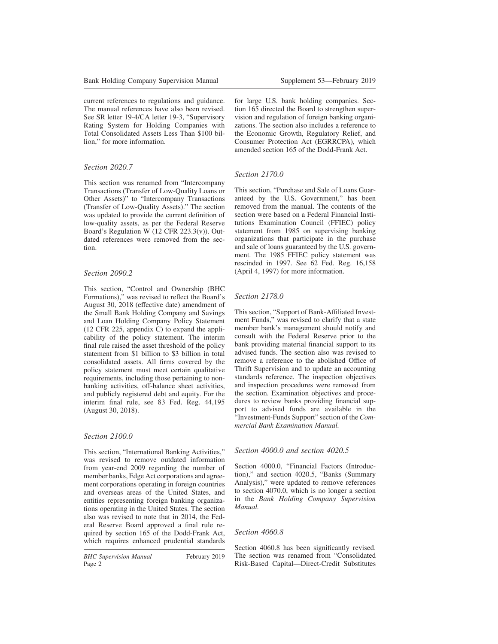current references to regulations and guidance. The manual references have also been revised. See SR letter 19-4/CA letter 19-3, "Supervisory Rating System for Holding Companies with Total Consolidated Assets Less Than \$100 billion," for more information.

### *Section 2020.7*

This section was renamed from "Intercompany Transactions (Transfer of Low-Quality Loans or Other Assets)" to "Intercompany Transactions (Transfer of Low-Quality Assets)." The section was updated to provide the current definition of low-quality assets, as per the Federal Reserve Board's Regulation W (12 CFR 223.3(v)). Outdated references were removed from the section.

### *Section 2090.2*

This section, "Control and Ownership (BHC Formations)," was revised to reflect the Board's August 30, 2018 (effective date) amendment of the Small Bank Holding Company and Savings and Loan Holding Company Policy Statement (12 CFR 225, appendix C) to expand the applicability of the policy statement. The interim final rule raised the asset threshold of the policy statement from \$1 billion to \$3 billion in total consolidated assets. All firms covered by the policy statement must meet certain qualitative requirements, including those pertaining to nonbanking activities, off-balance sheet activities, and publicly registered debt and equity. For the interim final rule, see 83 Fed. Reg. 44,195 (August 30, 2018).

#### *Section 2100.0*

This section, "International Banking Activities," was revised to remove outdated information from year-end 2009 regarding the number of member banks, Edge Act corporations and agreement corporations operating in foreign countries and overseas areas of the United States, and entities representing foreign banking organizations operating in the United States. The section also was revised to note that in 2014, the Federal Reserve Board approved a final rule required by section 165 of the Dodd-Frank Act, which requires enhanced prudential standards

for large U.S. bank holding companies. Section 165 directed the Board to strengthen supervision and regulation of foreign banking organizations. The section also includes a reference to the Economic Growth, Regulatory Relief, and Consumer Protection Act (EGRRCPA), which amended section 165 of the Dodd-Frank Act.

## *Section 2170.0*

This section, "Purchase and Sale of Loans Guaranteed by the U.S. Government," has been removed from the manual. The contents of the section were based on a Federal Financial Institutions Examination Council (FFIEC) policy statement from 1985 on supervising banking organizations that participate in the purchase and sale of loans guaranteed by the U.S. government. The 1985 FFIEC policy statement was rescinded in 1997. See 62 Fed. Reg. 16,158 (April 4, 1997) for more information.

## *Section 2178.0*

This section, "Support of Bank-Affiliated Investment Funds," was revised to clarify that a state member bank's management should notify and consult with the Federal Reserve prior to the bank providing material financial support to its advised funds. The section also was revised to remove a reference to the abolished Office of Thrift Supervision and to update an accounting standards reference. The inspection objectives and inspection procedures were removed from the section. Examination objectives and procedures to review banks providing financial support to advised funds are available in the "Investment-Funds Support" section of the *Commercial Bank Examination Manual.*

#### *Section 4000.0 and section 4020.5*

Section 4000.0, "Financial Factors (Introduction)," and section 4020.5, "Banks (Summary Analysis)," were updated to remove references to section 4070.0, which is no longer a section in the *Bank Holding Company Supervision Manual.*

#### *Section 4060.8*

Section 4060.8 has been significantly revised. The section was renamed from "Consolidated Risk-Based Capital—Direct-Credit Substitutes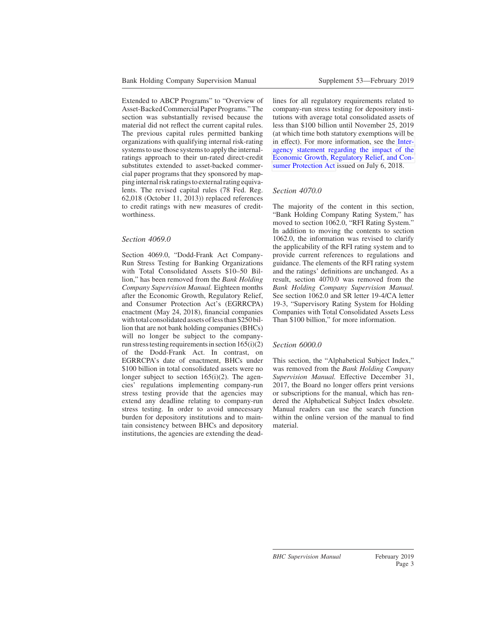Extended to ABCP Programs" to "Overview of Asset-Backed Commercial Paper Programs." The section was substantially revised because the material did not reflect the current capital rules. The previous capital rules permitted banking organizations with qualifying internal risk-rating systems to use those systems to apply the internalratings approach to their un-rated direct-credit substitutes extended to asset-backed commercial paper programs that they sponsored by mapping internal risk ratings to external rating equivalents. The revised capital rules (78 Fed. Reg. 62,018 (October 11, 2013)) replaced references to credit ratings with new measures of creditworthiness.

#### *Section 4069.0*

Section 4069.0, "Dodd-Frank Act Company-Run Stress Testing for Banking Organizations with Total Consolidated Assets \$10–50 Billion," has been removed from the *Bank Holding Company Supervision Manual.* Eighteen months after the Economic Growth, Regulatory Relief, and Consumer Protection Act's (EGRRCPA) enactment (May 24, 2018), financial companies with total consolidated assets of less than \$250 billion that are not bank holding companies (BHCs) will no longer be subject to the companyrun stress testing requirements in section  $165(i)(2)$ of the Dodd-Frank Act. In contrast, on EGRRCPA's date of enactment, BHCs under \$100 billion in total consolidated assets were no longer subject to section  $165(i)(2)$ . The agencies' regulations implementing company-run stress testing provide that the agencies may extend any deadline relating to company-run stress testing. In order to avoid unnecessary burden for depository institutions and to maintain consistency between BHCs and depository institutions, the agencies are extending the deadlines for all regulatory requirements related to company-run stress testing for depository institutions with average total consolidated assets of less than \$100 billion until November 25, 2019 (at which time both statutory exemptions will be in effect). For more information, see the [Inter](https://www.federalreserve.gov/newsevents/pressreleases/files/bcreg20180706a1.pdf)[agency statement regarding the impact of the](https://www.federalreserve.gov/newsevents/pressreleases/files/bcreg20180706a1.pdf) [Economic Growth, Regulatory Relief, and Con](https://www.federalreserve.gov/newsevents/pressreleases/files/bcreg20180706a1.pdf)[sumer Protection Act](https://www.federalreserve.gov/newsevents/pressreleases/files/bcreg20180706a1.pdf) issued on July 6, 2018.

#### *Section 4070.0*

The majority of the content in this section, "Bank Holding Company Rating System," has moved to section 1062.0, "RFI Rating System." In addition to moving the contents to section 1062.0, the information was revised to clarify the applicability of the RFI rating system and to provide current references to regulations and guidance. The elements of the RFI rating system and the ratings' definitions are unchanged. As a result, section 4070.0 was removed from the *Bank Holding Company Supervision Manual.* See section 1062.0 and SR letter 19-4/CA letter 19-3, "Supervisory Rating System for Holding Companies with Total Consolidated Assets Less Than \$100 billion," for more information.

#### *Section 6000.0*

This section, the "Alphabetical Subject Index," was removed from the *Bank Holding Company Supervision Manual.* Effective December 31, 2017, the Board no longer offers print versions or subscriptions for the manual, which has rendered the Alphabetical Subject Index obsolete. Manual readers can use the search function within the online version of the manual to find material.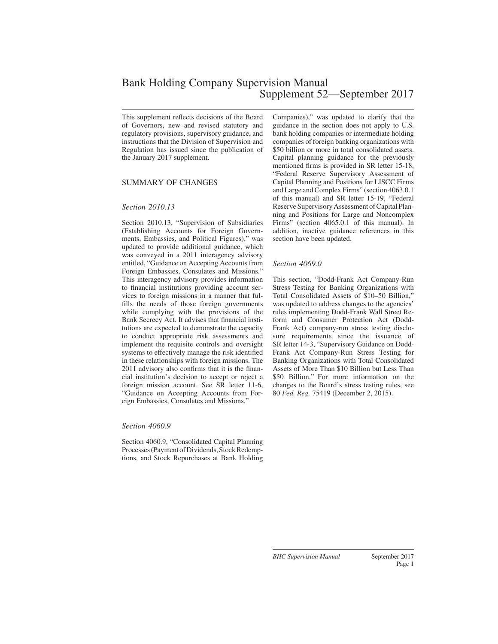# Bank Holding Company Supervision Manual Supplement 52—September 2017

This supplement reflects decisions of the Board of Governors, new and revised statutory and regulatory provisions, supervisory guidance, and instructions that the Division of Supervision and Regulation has issued since the publication of the January 2017 supplement.

## SUMMARY OF CHANGES

#### *Section 2010.13*

Section 2010.13, "Supervision of Subsidiaries (Establishing Accounts for Foreign Governments, Embassies, and Political Figures)," was updated to provide additional guidance, which was conveyed in a 2011 interagency advisory entitled, "Guidance on Accepting Accounts from Foreign Embassies, Consulates and Missions." This interagency advisory provides information to financial institutions providing account services to foreign missions in a manner that fulfills the needs of those foreign governments while complying with the provisions of the Bank Secrecy Act. It advises that financial institutions are expected to demonstrate the capacity to conduct appropriate risk assessments and implement the requisite controls and oversight systems to effectively manage the risk identified in these relationships with foreign missions. The 2011 advisory also confirms that it is the financial institution's decision to accept or reject a foreign mission account. See SR letter 11-6, "Guidance on Accepting Accounts from Foreign Embassies, Consulates and Missions."

#### *Section 4060.9*

Section 4060.9, "Consolidated Capital Planning Processes (Payment of Dividends, Stock Redemptions, and Stock Repurchases at Bank Holding Companies)," was updated to clarify that the guidance in the section does not apply to U.S. bank holding companies or intermediate holding companies of foreign banking organizations with \$50 billion or more in total consolidated assets. Capital planning guidance for the previously mentioned firms is provided in SR letter 15-18, "Federal Reserve Supervisory Assessment of Capital Planning and Positions for LISCC Firms and Large and Complex Firms" (section 4063.0.1 of this manual) and SR letter 15-19, "Federal Reserve Supervisory Assessment of Capital Planning and Positions for Large and Noncomplex Firms" (section 4065.0.1 of this manual). In addition, inactive guidance references in this section have been updated.

### *Section 4069.0*

This section, "Dodd-Frank Act Company-Run Stress Testing for Banking Organizations with Total Consolidated Assets of \$10–50 Billion," was updated to address changes to the agencies' rules implementing Dodd-Frank Wall Street Reform and Consumer Protection Act (Dodd-Frank Act) company-run stress testing disclosure requirements since the issuance of SR letter 14-3, "Supervisory Guidance on Dodd-Frank Act Company-Run Stress Testing for Banking Organizations with Total Consolidated Assets of More Than \$10 Billion but Less Than \$50 Billion." For more information on the changes to the Board's stress testing rules, see 80 *Fed. Reg.* 75419 (December 2, 2015).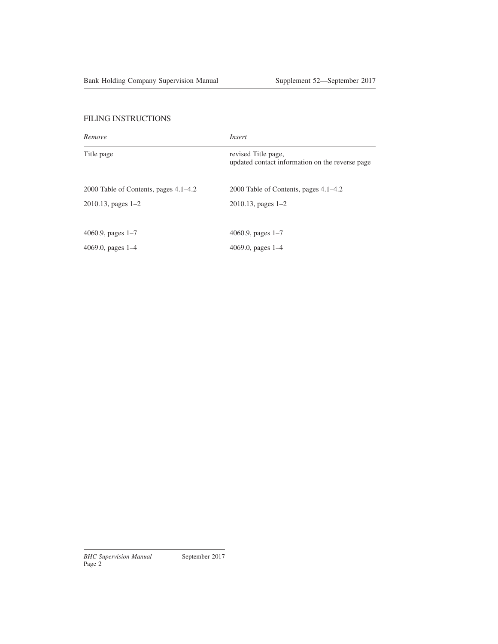| Remove                                | Insert                                                                 |
|---------------------------------------|------------------------------------------------------------------------|
| Title page                            | revised Title page,<br>updated contact information on the reverse page |
| 2000 Table of Contents, pages 4.1–4.2 | 2000 Table of Contents, pages 4.1–4.2                                  |
| $2010.13$ , pages $1-2$               | $2010.13$ , pages $1-2$                                                |
| 4060.9, pages $1-7$                   | 4060.9, pages $1-7$                                                    |
| 4069.0, pages $1-4$                   | 4069.0, pages $1-4$                                                    |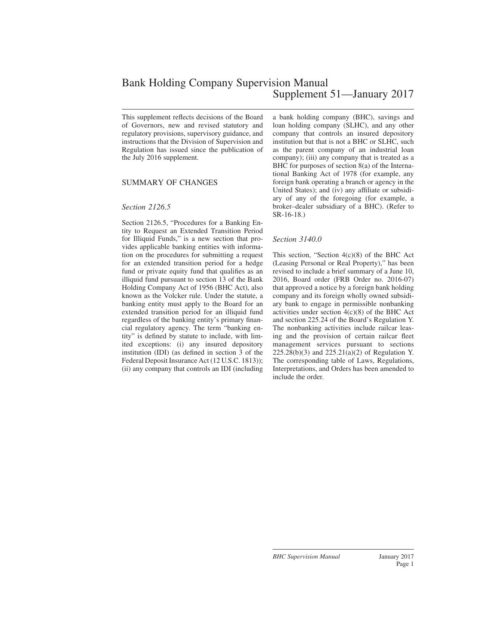# Bank Holding Company Supervision Manual Supplement 51—January 2017

This supplement reflects decisions of the Board of Governors, new and revised statutory and regulatory provisions, supervisory guidance, and instructions that the Division of Supervision and Regulation has issued since the publication of the July 2016 supplement.

## SUMMARY OF CHANGES

#### *Section 2126.5*

Section 2126.5, "Procedures for a Banking Entity to Request an Extended Transition Period for Illiquid Funds," is a new section that provides applicable banking entities with information on the procedures for submitting a request for an extended transition period for a hedge fund or private equity fund that qualifies as an illiquid fund pursuant to section 13 of the Bank Holding Company Act of 1956 (BHC Act), also known as the Volcker rule. Under the statute, a banking entity must apply to the Board for an extended transition period for an illiquid fund regardless of the banking entity's primary financial regulatory agency. The term "banking entity" is defined by statute to include, with limited exceptions: (i) any insured depository institution (IDI) (as defined in section 3 of the Federal Deposit Insurance Act (12 U.S.C. 1813)); (ii) any company that controls an IDI (including a bank holding company (BHC), savings and loan holding company (SLHC), and any other company that controls an insured depository institution but that is not a BHC or SLHC, such as the parent company of an industrial loan company); (iii) any company that is treated as a BHC for purposes of section 8(a) of the International Banking Act of 1978 (for example, any foreign bank operating a branch or agency in the United States); and (iv) any affiliate or subsidiary of any of the foregoing (for example, a broker–dealer subsidiary of a BHC). (Refer to SR-16-18.)

#### *Section 3140.0*

This section, "Section 4(c)(8) of the BHC Act (Leasing Personal or Real Property)," has been revised to include a brief summary of a June 10, 2016, Board order (FRB Order no. 2016-07) that approved a notice by a foreign bank holding company and its foreign wholly owned subsidiary bank to engage in permissible nonbanking activities under section 4(c)(8) of the BHC Act and section 225.24 of the Board's Regulation Y. The nonbanking activities include railcar leasing and the provision of certain railcar fleet management services pursuant to sections 225.28(b)(3) and 225.21(a)(2) of Regulation Y. The corresponding table of Laws, Regulations, Interpretations, and Orders has been amended to include the order.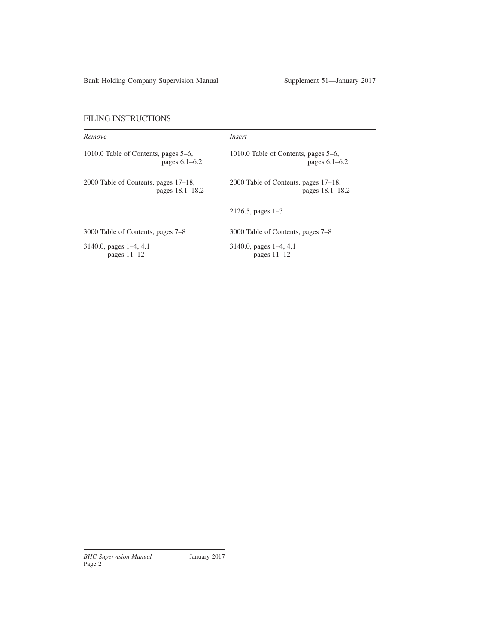| Remove                               | Insert                               |
|--------------------------------------|--------------------------------------|
| 1010.0 Table of Contents, pages 5–6, | 1010.0 Table of Contents, pages 5–6, |
| pages $6.1-6.2$                      | pages $6.1 - 6.2$                    |
| 2000 Table of Contents, pages 17–18, | 2000 Table of Contents, pages 17–18, |
| pages 18.1–18.2                      | pages 18.1–18.2                      |
|                                      | $2126.5$ , pages $1-3$               |
| 3000 Table of Contents, pages 7–8    | 3000 Table of Contents, pages 7–8    |
| $3140.0$ , pages $1-4$ , 4.1         | $3140.0$ , pages $1-4$ , 4.1         |
| pages $11-12$                        | pages $11-12$                        |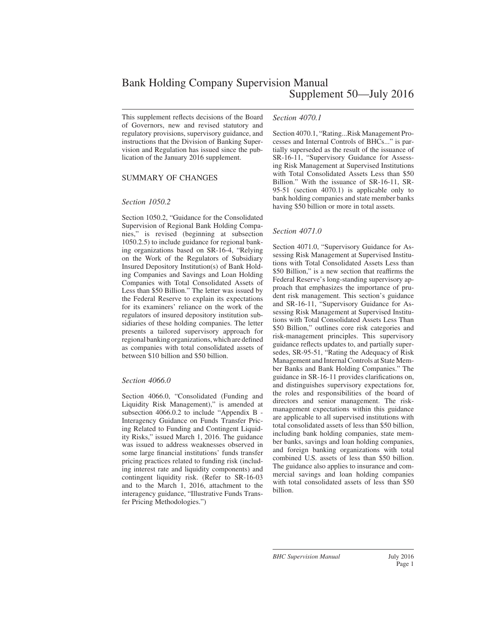This supplement reflects decisions of the Board of Governors, new and revised statutory and regulatory provisions, supervisory guidance, and instructions that the Division of Banking Supervision and Regulation has issued since the publication of the January 2016 supplement.

## SUMMARY OF CHANGES

### *Section 1050.2*

Section 1050.2, "Guidance for the Consolidated Supervision of Regional Bank Holding Companies," is revised (beginning at subsection 1050.2.5) to include guidance for regional banking organizations based on SR-16-4, "Relying on the Work of the Regulators of Subsidiary Insured Depository Institution(s) of Bank Holding Companies and Savings and Loan Holding Companies with Total Consolidated Assets of Less than \$50 Billion." The letter was issued by the Federal Reserve to explain its expectations for its examiners' reliance on the work of the regulators of insured depository institution subsidiaries of these holding companies. The letter presents a tailored supervisory approach for regional banking organizations, which are defined as companies with total consolidated assets of between \$10 billion and \$50 billion.

#### *Section 4066.0*

Section 4066.0, "Consolidated (Funding and Liquidity Risk Management)," is amended at subsection 4066.0.2 to include "Appendix B - Interagency Guidance on Funds Transfer Pricing Related to Funding and Contingent Liquidity Risks," issued March 1, 2016. The guidance was issued to address weaknesses observed in some large financial institutions' funds transfer pricing practices related to funding risk (including interest rate and liquidity components) and contingent liquidity risk. (Refer to SR-16-03 and to the March 1, 2016, attachment to the interagency guidance, "Illustrative Funds Transfer Pricing Methodologies.")

#### *Section 4070.1*

Section 4070.1, "Rating...Risk Management Processes and Internal Controls of BHCs..." is partially superseded as the result of the issuance of SR-16-11, "Supervisory Guidance for Assessing Risk Management at Supervised Institutions with Total Consolidated Assets Less than \$50 Billion." With the issuance of SR-16-11, SR-95-51 (section 4070.1) is applicable only to bank holding companies and state member banks having \$50 billion or more in total assets.

### *Section 4071.0*

Section 4071.0, "Supervisory Guidance for Assessing Risk Management at Supervised Institutions with Total Consolidated Assets Less than \$50 Billion," is a new section that reaffirms the Federal Reserve's long-standing supervisory approach that emphasizes the importance of prudent risk management. This section's guidance and SR-16-11, "Supervisory Guidance for Assessing Risk Management at Supervised Institutions with Total Consolidated Assets Less Than \$50 Billion," outlines core risk categories and risk-management principles. This supervisory guidance reflects updates to, and partially supersedes, SR-95-51, "Rating the Adequacy of Risk Management and Internal Controls at State Member Banks and Bank Holding Companies." The guidance in SR-16-11 provides clarifications on, and distinguishes supervisory expectations for, the roles and responsibilities of the board of directors and senior management. The riskmanagement expectations within this guidance are applicable to all supervised institutions with total consolidated assets of less than \$50 billion, including bank holding companies, state member banks, savings and loan holding companies, and foreign banking organizations with total combined U.S. assets of less than \$50 billion. The guidance also applies to insurance and commercial savings and loan holding companies with total consolidated assets of less than \$50 billion.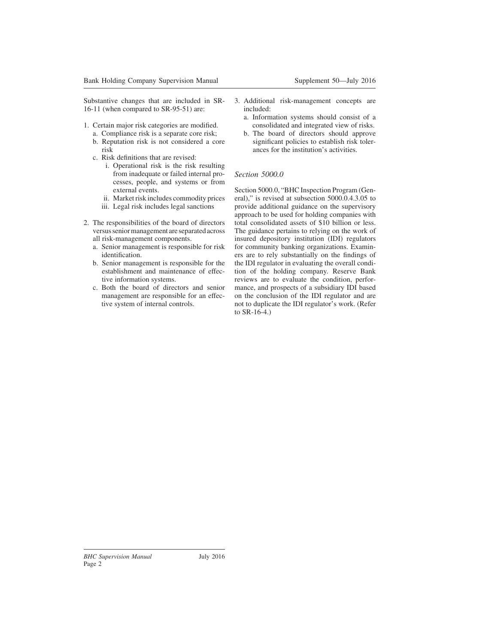Substantive changes that are included in SR-16-11 (when compared to SR-95-51) are:

- 1. Certain major risk categories are modified.
	- a. Compliance risk is a separate core risk; b. Reputation risk is not considered a core risk
	- c. Risk definitions that are revised:
		- i. Operational risk is the risk resulting from inadequate or failed internal processes, people, and systems or from external events.
		- ii. Market risk includes commodity prices
		- iii. Legal risk includes legal sanctions
- 2. The responsibilities of the board of directors versus senior management are separated across all risk-management components.
	- a. Senior management is responsible for risk identification.
	- b. Senior management is responsible for the establishment and maintenance of effective information systems.
	- c. Both the board of directors and senior management are responsible for an effective system of internal controls.
- 3. Additional risk-management concepts are included:
	- a. Information systems should consist of a consolidated and integrated view of risks.
	- b. The board of directors should approve significant policies to establish risk tolerances for the institution's activities.

## *Section 5000.0*

Section 5000.0, "BHC Inspection Program (General)," is revised at subsection 5000.0.4.3.05 to provide additional guidance on the supervisory approach to be used for holding companies with total consolidated assets of \$10 billion or less. The guidance pertains to relying on the work of insured depository institution (IDI) regulators for community banking organizations. Examiners are to rely substantially on the findings of the IDI regulator in evaluating the overall condition of the holding company. Reserve Bank reviews are to evaluate the condition, performance, and prospects of a subsidiary IDI based on the conclusion of the IDI regulator and are not to duplicate the IDI regulator's work. (Refer to SR-16-4.)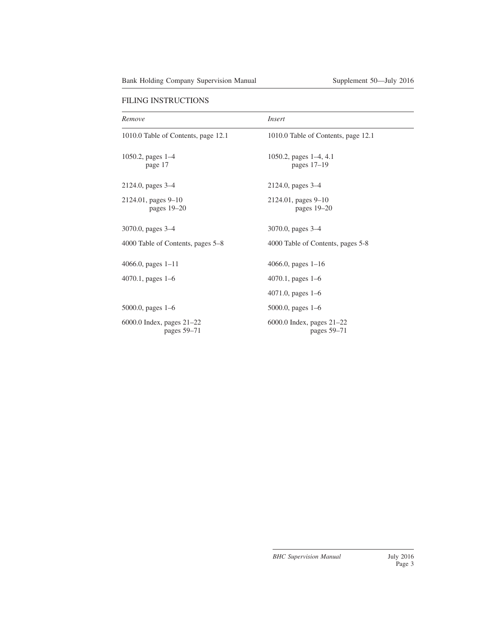| Remove                                     | Insert                                     |
|--------------------------------------------|--------------------------------------------|
| 1010.0 Table of Contents, page 12.1        | 1010.0 Table of Contents, page 12.1        |
| 1050.2, pages $1-4$<br>page 17             | 1050.2, pages $1-4$ , 4.1<br>pages $17-19$ |
| 2124.0, pages 3–4                          | 2124.0, pages 3–4                          |
| 2124.01, pages 9-10<br>pages $19-20$       | 2124.01, pages 9–10<br>pages $19-20$       |
| 3070.0, pages 3–4                          | 3070.0, pages $3-4$                        |
| 4000 Table of Contents, pages 5–8          | 4000 Table of Contents, pages 5-8          |
| $4066.0$ , pages $1-11$                    | 4066.0, pages $1-16$                       |
| $4070.1$ , pages 1–6                       | 4070.1, pages $1-6$                        |
|                                            | $4071.0$ , pages $1-6$                     |
| $5000.0$ , pages 1–6                       | $5000.0$ , pages $1-6$                     |
| 6000.0 Index, pages $21-22$<br>pages 59-71 | 6000.0 Index, pages $21-22$<br>pages 59-71 |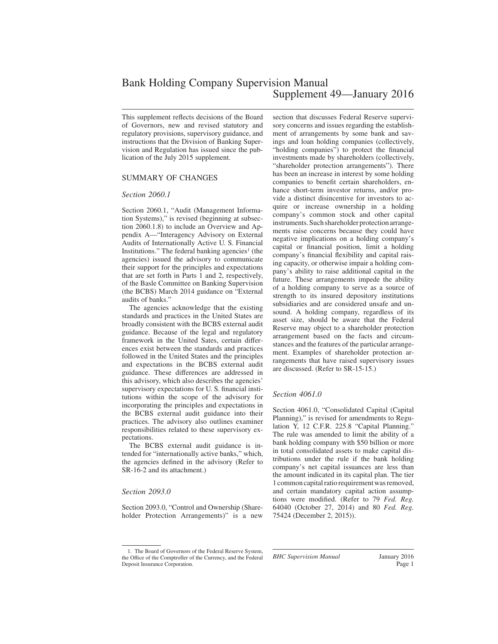# Bank Holding Company Supervision Manual Supplement 49—January 2016

This supplement reflects decisions of the Board of Governors, new and revised statutory and regulatory provisions, supervisory guidance, and instructions that the Division of Banking Supervision and Regulation has issued since the publication of the July 2015 supplement.

### SUMMARY OF CHANGES

#### *Section 2060.1*

Section 2060.1, "Audit (Management Information Systems)," is revised (beginning at subsection 2060.1.8) to include an Overview and Appendix A—"Interagency Advisory on External Audits of Internationally Active U. S. Financial Institutions." The federal banking agencies<sup>1</sup> (the agencies) issued the advisory to communicate their support for the principles and expectations that are set forth in Parts 1 and 2, respectively, of the Basle Committee on Banking Supervision (the BCBS) March 2014 guidance on "External audits of banks."

The agencies acknowledge that the existing standards and practices in the United States are broadly consistent with the BCBS external audit guidance. Because of the legal and regulatory framework in the United Sates, certain differences exist between the standards and practices followed in the United States and the principles and expectations in the BCBS external audit guidance. These differences are addressed in this advisory, which also describes the agencies' supervisory expectations for U. S. financial institutions within the scope of the advisory for incorporating the principles and expectations in the BCBS external audit guidance into their practices. The advisory also outlines examiner responsibilities related to these supervisory expectations.

The BCBS external audit guidance is intended for "internationally active banks," which, the agencies defined in the advisory (Refer to SR-16-2 and its attachment.)

#### *Section 2093.0*

Section 2093.0, "Control and Ownership (Shareholder Protection Arrangements)" is a new

1. The Board of Governors of the Federal Reserve System, the Office of the Comptroller of the Currency, and the Federal Deposit Insurance Corporation.

section that discusses Federal Reserve supervisory concerns and issues regarding the establishment of arrangements by some bank and savings and loan holding companies (collectively, "holding companies") to protect the financial investments made by shareholders (collectively, "shareholder protection arrangements"). There has been an increase in interest by some holding companies to benefit certain shareholders, enhance short-term investor returns, and/or provide a distinct disincentive for investors to acquire or increase ownership in a holding company's common stock and other capital instruments. Such shareholder protection arrangements raise concerns because they could have negative implications on a holding company's capital or financial position, limit a holding company's financial flexibility and capital raising capacity, or otherwise impair a holding company's ability to raise additional capital in the future. These arrangements impede the ability of a holding company to serve as a source of strength to its insured depository institutions subsidiaries and are considered unsafe and unsound. A holding company, regardless of its asset size, should be aware that the Federal Reserve may object to a shareholder protection arrangement based on the facts and circumstances and the features of the particular arrangement. Examples of shareholder protection arrangements that have raised supervisory issues are discussed. (Refer to SR-15-15.)

#### *Section 4061.0*

Section 4061.0, "Consolidated Capital (Capital Planning)," is revised for amendments to Regulation Y, 12 C.F.R. 225.8 "Capital Planning." The rule was amended to limit the ability of a bank holding company with \$50 billion or more in total consolidated assets to make capital distributions under the rule if the bank holding company's net capital issuances are less than the amount indicated in its capital plan. The tier 1 common capital ratio requirement was removed, and certain mandatory capital action assumptions were modified. (Refer to 79 *Fed. Reg.* 64040 (October 27, 2014) and 80 *Fed. Reg.* 75424 (December 2, 2015)).

*BHC Supervision Manual* January 2016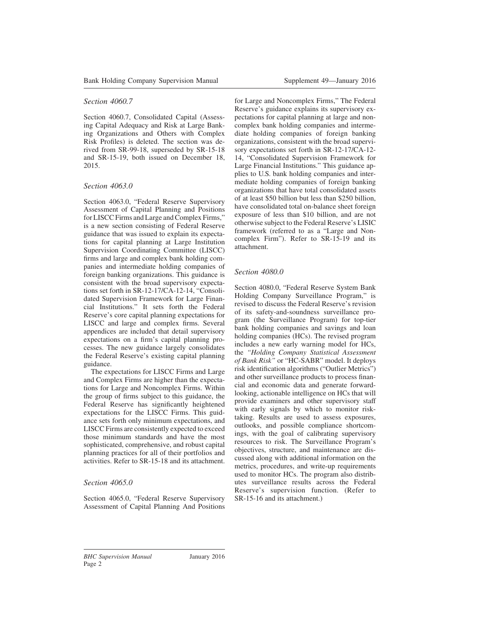## *Section 4060.7*

Section 4060.7, Consolidated Capital (Assessing Capital Adequacy and Risk at Large Banking Organizations and Others with Complex Risk Profiles) is deleted. The section was derived from SR-99-18, superseded by SR-15-18 and SR-15-19, both issued on December 18, 2015.

## *Section 4063.0*

Section 4063.0, "Federal Reserve Supervisory Assessment of Capital Planning and Positions for LISCC Firms and Large and Complex Firms," is a new section consisting of Federal Reserve guidance that was issued to explain its expectations for capital planning at Large Institution Supervision Coordinating Committee (LISCC) firms and large and complex bank holding companies and intermediate holding companies of foreign banking organizations. This guidance is consistent with the broad supervisory expectations set forth in SR-12-17/CA-12-14, "Consolidated Supervision Framework for Large Financial Institutions." It sets forth the Federal Reserve's core capital planning expectations for LISCC and large and complex firms. Several appendices are included that detail supervisory expectations on a firm's capital planning processes. The new guidance largely consolidates the Federal Reserve's existing capital planning guidance.

The expectations for LISCC Firms and Large and Complex Firms are higher than the expectations for Large and Noncomplex Firms. Within the group of firms subject to this guidance, the Federal Reserve has significantly heightened expectations for the LISCC Firms. This guidance sets forth only minimum expectations, and LISCC Firms are consistently expected to exceed those minimum standards and have the most sophisticated, comprehensive, and robust capital planning practices for all of their portfolios and activities. Refer to SR-15-18 and its attachment.

## *Section 4065.0*

Section 4065.0, "Federal Reserve Supervisory Assessment of Capital Planning And Positions for Large and Noncomplex Firms," The Federal Reserve's guidance explains its supervisory expectations for capital planning at large and noncomplex bank holding companies and intermediate holding companies of foreign banking organizations, consistent with the broad supervisory expectations set forth in SR-12-17/CA-12- 14, "Consolidated Supervision Framework for Large Financial Institutions." This guidance applies to U.S. bank holding companies and intermediate holding companies of foreign banking organizations that have total consolidated assets of at least \$50 billion but less than \$250 billion, have consolidated total on-balance sheet foreign exposure of less than \$10 billion, and are not otherwise subject to the Federal Reserve's LISIC framework (referred to as a "Large and Noncomplex Firm"). Refer to SR-15-19 and its attachment.

## *Section 4080.0*

Section 4080.0, "Federal Reserve System Bank Holding Company Surveillance Program," is revised to discuss the Federal Reserve's revision of its safety-and-soundness surveillance program (the Surveillance Program) for top-tier bank holding companies and savings and loan holding companies (HCs). The revised program includes a new early warning model for HCs, the *"Holding Company Statistical Assessment of Bank Risk"* or "HC-SABR" model. It deploys risk identification algorithms ("Outlier Metrics") and other surveillance products to process financial and economic data and generate forwardlooking, actionable intelligence on HCs that will provide examiners and other supervisory staff with early signals by which to monitor risktaking. Results are used to assess exposures, outlooks, and possible compliance shortcomings, with the goal of calibrating supervisory resources to risk. The Surveillance Program's objectives, structure, and maintenance are discussed along with additional information on the metrics, procedures, and write-up requirements used to monitor HCs. The program also distributes surveillance results across the Federal Reserve's supervision function. (Refer to SR-15-16 and its attachment.)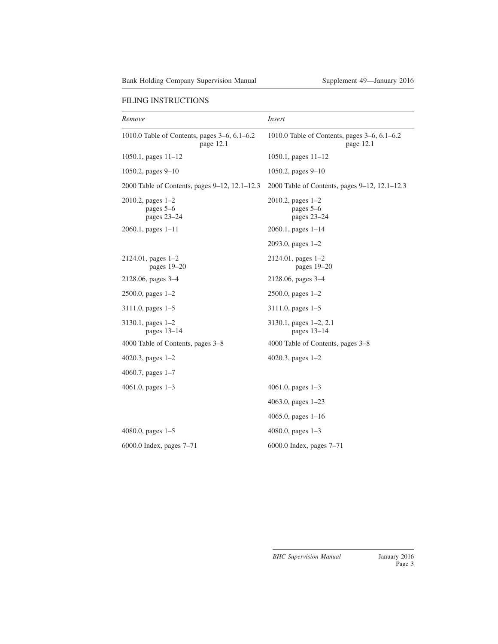| Remove                                                    | <i>Insert</i>                                             |
|-----------------------------------------------------------|-----------------------------------------------------------|
| 1010.0 Table of Contents, pages 3–6, 6.1–6.2<br>page 12.1 | 1010.0 Table of Contents, pages 3-6, 6.1-6.2<br>page 12.1 |
| 1050.1, pages $11-12$                                     | 1050.1, pages $11-12$                                     |
| 1050.2, pages $9-10$                                      | 1050.2, pages $9-10$                                      |
| 2000 Table of Contents, pages 9–12, 12.1–12.3             | 2000 Table of Contents, pages 9–12, 12.1–12.3             |
| $2010.2$ , pages $1-2$<br>pages 5–6<br>pages 23-24        | $2010.2$ , pages $1-2$<br>pages 5–6<br>pages 23-24        |
| $2060.1$ , pages $1-11$                                   | $2060.1$ , pages $1-14$                                   |
|                                                           | $2093.0$ , pages $1-2$                                    |
| $2124.01$ , pages $1-2$<br>pages $19-20$                  | $2124.01$ , pages $1-2$<br>pages $19-20$                  |
| 2128.06, pages 3–4                                        | 2128.06, pages 3–4                                        |
| $2500.0$ , pages $1-2$                                    | 2500.0, pages 1-2                                         |
| $3111.0$ , pages $1-5$                                    | $3111.0$ , pages $1-5$                                    |
| $3130.1$ , pages $1-2$<br>pages $13-14$                   | $3130.1$ , pages $1-2$ , 2.1<br>pages $13-14$             |
| 4000 Table of Contents, pages 3–8                         | 4000 Table of Contents, pages 3–8                         |
| 4020.3, pages $1-2$                                       | 4020.3, pages $1-2$                                       |
| 4060.7, pages $1-7$                                       |                                                           |
| 4061.0, pages $1-3$                                       | 4061.0, pages $1-3$                                       |
|                                                           | 4063.0, pages 1-23                                        |
|                                                           | 4065.0, pages $1-16$                                      |
| 4080.0, pages $1-5$                                       | 4080.0, pages $1-3$                                       |
| 6000.0 Index, pages $7-71$                                | 6000.0 Index, pages $7-71$                                |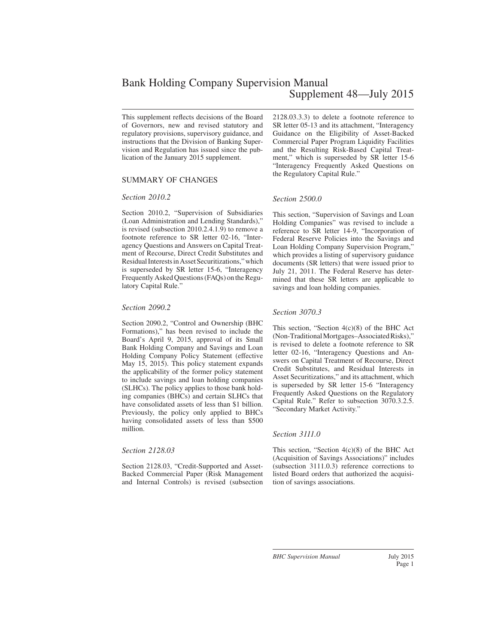# Bank Holding Company Supervision Manual Supplement 48—July 2015

This supplement reflects decisions of the Board of Governors, new and revised statutory and regulatory provisions, supervisory guidance, and instructions that the Division of Banking Supervision and Regulation has issued since the publication of the January 2015 supplement.

## SUMMARY OF CHANGES

#### *Section 2010.2*

Section 2010.2, "Supervision of Subsidiaries (Loan Administration and Lending Standards)," is revised (subsection 2010.2.4.1.9) to remove a footnote reference to SR letter 02-16, "Interagency Questions and Answers on Capital Treatment of Recourse, Direct Credit Substitutes and ResidualInterestsinAssetSecuritizations,"which is superseded by SR letter 15-6, "Interagency Frequently Asked Questions (FAQs) on the Regulatory Capital Rule."

#### *Section 2090.2*

Section 2090.2, "Control and Ownership (BHC Formations)," has been revised to include the Board's April 9, 2015, approval of its Small Bank Holding Company and Savings and Loan Holding Company Policy Statement (effective May 15, 2015). This policy statement expands the applicability of the former policy statement to include savings and loan holding companies (SLHCs). The policy applies to those bank holding companies (BHCs) and certain SLHCs that have consolidated assets of less than \$1 billion. Previously, the policy only applied to BHCs having consolidated assets of less than \$500 million.

#### *Section 2128.03*

Section 2128.03, "Credit-Supported and Asset-Backed Commercial Paper (Risk Management and Internal Controls) is revised (subsection 2128.03.3.3) to delete a footnote reference to SR letter 05-13 and its attachment, "Interagency Guidance on the Eligibility of Asset-Backed Commercial Paper Program Liquidity Facilities and the Resulting Risk-Based Capital Treatment," which is superseded by SR letter 15-6 "Interagency Frequently Asked Questions on the Regulatory Capital Rule."

#### *Section 2500.0*

This section, "Supervision of Savings and Loan Holding Companies" was revised to include a reference to SR letter 14-9, "Incorporation of Federal Reserve Policies into the Savings and Loan Holding Company Supervision Program," which provides a listing of supervisory guidance documents (SR letters) that were issued prior to July 21, 2011. The Federal Reserve has determined that these SR letters are applicable to savings and loan holding companies.

#### *Section 3070.3*

This section, "Section 4(c)(8) of the BHC Act (Non-Traditional Mortgages–Associated Risks)," is revised to delete a footnote reference to SR letter 02-16, "Interagency Questions and Answers on Capital Treatment of Recourse, Direct Credit Substitutes, and Residual Interests in Asset Securitizations," and its attachment, which is superseded by SR letter 15-6 "Interagency Frequently Asked Questions on the Regulatory Capital Rule." Refer to subsection 3070.3.2.5. "Secondary Market Activity."

#### *Section 3111.0*

This section, "Section 4(c)(8) of the BHC Act (Acquisition of Savings Associations)" includes (subsection 3111.0.3) reference corrections to listed Board orders that authorized the acquisition of savings associations.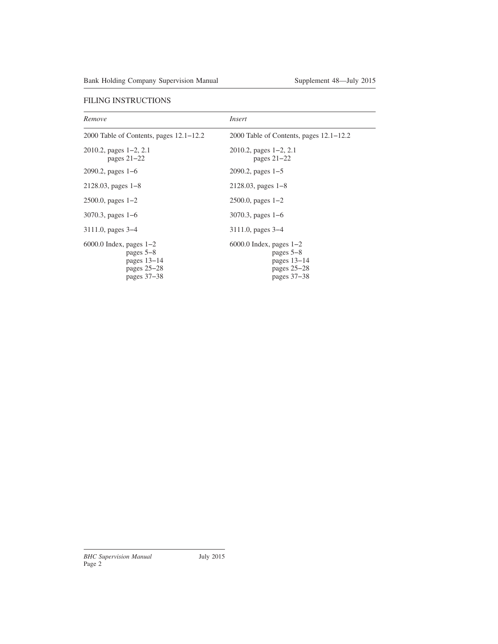| Remove                                                                                      | Insert                                                                                      |
|---------------------------------------------------------------------------------------------|---------------------------------------------------------------------------------------------|
| 2000 Table of Contents, pages $12.1 - 12.2$                                                 | 2000 Table of Contents, pages $12.1 - 12.2$                                                 |
| $2010.2$ , pages $1-2$ , 2.1<br>pages $21-22$                                               | 2010.2, pages $1-2$ , 2.1<br>pages $21-22$                                                  |
| $2090.2$ , pages 1–6                                                                        | 2090.2, pages $1-5$                                                                         |
| $2128.03$ , pages $1-8$                                                                     | $2128.03$ , pages $1-8$                                                                     |
| $2500.0$ , pages $1-2$                                                                      | $2500.0$ , pages $1-2$                                                                      |
| 3070.3, pages $1-6$                                                                         | $3070.3$ , pages 1–6                                                                        |
| $3111.0$ , pages $3-4$                                                                      | $3111.0$ , pages $3-4$                                                                      |
| $6000.0$ Index, pages $1-2$<br>pages $5-8$<br>pages $13-14$<br>pages $25-28$<br>pages 37–38 | $6000.0$ Index, pages $1-2$<br>pages $5-8$<br>pages $13-14$<br>pages $25-28$<br>pages 37–38 |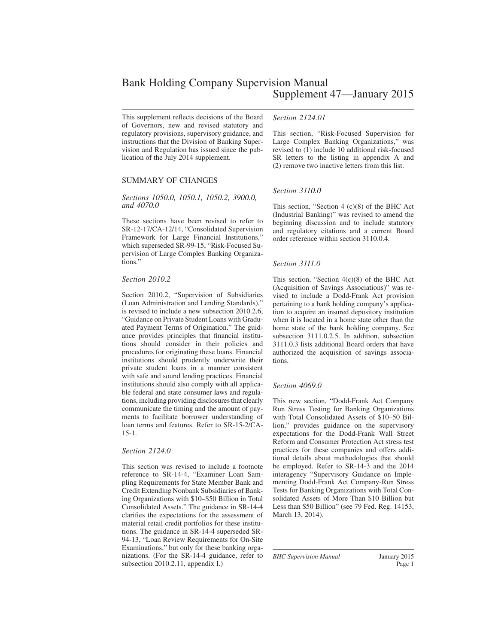This supplement reflects decisions of the Board of Governors, new and revised statutory and regulatory provisions, supervisory guidance, and instructions that the Division of Banking Supervision and Regulation has issued since the publication of the July 2014 supplement.

### SUMMARY OF CHANGES

#### *Sections 1050.0, 1050.1, 1050.2, 3900.0, and 4070.0*

These sections have been revised to refer to SR-12-17/CA-12/14, "Consolidated Supervision Framework for Large Financial Institutions," which superseded SR-99-15, "Risk-Focused Supervision of Large Complex Banking Organizations."

#### *Section 2010.2*

Section 2010.2, "Supervision of Subsidiaries (Loan Administration and Lending Standards)," is revised to include a new subsection 2010.2.6, "Guidance on Private Student Loans with Graduated Payment Terms of Origination." The guidance provides principles that financial institutions should consider in their policies and procedures for originating these loans. Financial institutions should prudently underwrite their private student loans in a manner consistent with safe and sound lending practices. Financial institutions should also comply with all applicable federal and state consumer laws and regulations, including providing disclosures that clearly communicate the timing and the amount of payments to facilitate borrower understanding of loan terms and features. Refer to SR-15-2/CA-15-1.

#### *Section 2124.0*

This section was revised to include a footnote reference to SR-14-4, "Examiner Loan Sampling Requirements for State Member Bank and Credit Extending Nonbank Subsidiaries of Banking Organizations with \$10–\$50 Billion in Total Consolidated Assets." The guidance in SR-14-4 clarifies the expectations for the assessment of material retail credit portfolios for these institutions. The guidance in SR-14-4 superseded SR-94-13, "Loan Review Requirements for On-Site Examinations," but only for these banking organizations. (For the SR-14-4 guidance, refer to subsection 2010.2.11, appendix I.)

#### *Section 2124.01*

This section, "Risk-Focused Supervision for Large Complex Banking Organizations," was revised to (1) include 10 additional risk-focused SR letters to the listing in appendix A and (2) remove two inactive letters from this list.

#### *Section 3110.0*

This section, "Section 4 (c)(8) of the BHC Act (Industrial Banking)" was revised to amend the beginning discussion and to include statutory and regulatory citations and a current Board order reference within section 3110.0.4.

#### *Section 3111.0*

This section, "Section 4(c)(8) of the BHC Act (Acquisition of Savings Associations)" was revised to include a Dodd-Frank Act provision pertaining to a bank holding company's application to acquire an insured depository institution when it is located in a home state other than the home state of the bank holding company. See subsection 3111.0.2.5. In addition, subsection 3111.0.3 lists additional Board orders that have authorized the acquisition of savings associations.

#### *Section 4069.0*

This new section, "Dodd-Frank Act Company Run Stress Testing for Banking Organizations with Total Consolidated Assets of \$10–50 Billion," provides guidance on the supervisory expectations for the Dodd-Frank Wall Street Reform and Consumer Protection Act stress test practices for these companies and offers additional details about methodologies that should be employed. Refer to SR-14-3 and the 2014 interagency "Supervisory Guidance on Implementing Dodd-Frank Act Company-Run Stress Tests for Banking Organizations with Total Consolidated Assets of More Than \$10 Billion but Less than \$50 Billion" (see 79 Fed. Reg. 14153, March 13, 2014).

*BHC Supervision Manual* January 2015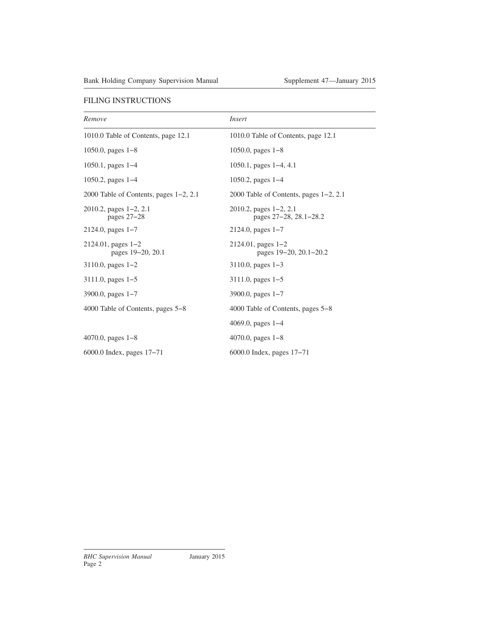| Remove                                        | <i>Insert</i>                                          |
|-----------------------------------------------|--------------------------------------------------------|
| 1010.0 Table of Contents, page 12.1           | 1010.0 Table of Contents, page 12.1                    |
| 1050.0, pages $1-8$                           | 1050.0, pages $1-8$                                    |
| 1050.1, pages $1-4$                           | 1050.1, pages $1-4$ , 4.1                              |
| 1050.2, pages $1-4$                           | 1050.2, pages $1-4$                                    |
| 2000 Table of Contents, pages $1-2$ , 2.1     | 2000 Table of Contents, pages $1-2$ , 2.1              |
| $2010.2$ , pages $1-2$ , 2.1<br>pages $27-28$ | $2010.2$ , pages $1-2$ , 2.1<br>pages 27-28, 28.1-28.2 |
| $2124.0$ , pages $1-7$                        | $2124.0$ , pages $1-7$                                 |
| $2124.01$ , pages $1-2$<br>pages 19-20, 20.1  | $2124.01$ , pages $1-2$<br>pages 19–20, 20.1–20.2      |
| $3110.0$ , pages $1-2$                        | $3110.0$ , pages $1-3$                                 |
| $3111.0$ , pages $1-5$                        | $3111.0$ , pages $1-5$                                 |
| 3900.0, pages $1-7$                           | 3900.0, pages $1-7$                                    |
| 4000 Table of Contents, pages 5–8             | 4000 Table of Contents, pages 5–8                      |
|                                               | 4069.0, pages $1-4$                                    |
| 4070.0, pages $1-8$                           | 4070.0, pages $1-8$                                    |
| 6000.0 Index, pages $17-71$                   | 6000.0 Index, pages $17-71$                            |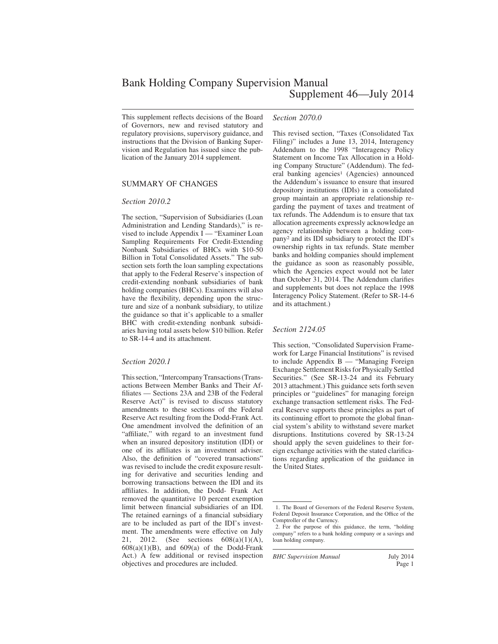This supplement reflects decisions of the Board of Governors, new and revised statutory and regulatory provisions, supervisory guidance, and instructions that the Division of Banking Supervision and Regulation has issued since the publication of the January 2014 supplement.

#### SUMMARY OF CHANGES

#### *Section 2010.2*

The section, "Supervision of Subsidiaries (Loan Administration and Lending Standards)," is revised to include Appendix I — "Examiner Loan Sampling Requirements For Credit-Extending Nonbank Subsidiaries of BHCs with \$10-50 Billion in Total Consolidated Assets." The subsection sets forth the loan sampling expectations that apply to the Federal Reserve's inspection of credit-extending nonbank subsidiaries of bank holding companies (BHCs). Examiners will also have the flexibility, depending upon the structure and size of a nonbank subsidiary, to utilize the guidance so that it's applicable to a smaller BHC with credit-extending nonbank subsidiaries having total assets below \$10 billion. Refer to SR-14-4 and its attachment.

#### *Section 2020.1*

This section, "Intercompany Transactions (Transactions Between Member Banks and Their Affiliates — Sections 23A and 23B of the Federal Reserve Act)" is revised to discuss statutory amendments to these sections of the Federal Reserve Act resulting from the Dodd-Frank Act. One amendment involved the definition of an "affiliate," with regard to an investment fund when an insured depository institution (IDI) or one of its affiliates is an investment adviser. Also, the definition of "covered transactions" was revised to include the credit exposure resulting for derivative and securities lending and borrowing transactions between the IDI and its affiliates. In addition, the Dodd- Frank Act removed the quantitative 10 percent exemption limit between financial subsidiaries of an IDI. The retained earnings of a financial subsidiary are to be included as part of the IDI's investment. The amendments were effective on July 21, 2012. (See sections 608(a)(1)(A),  $608(a)(1)(B)$ , and  $609(a)$  of the Dodd-Frank Act.) A few additional or revised inspection objectives and procedures are included.

#### *Section 2070.0*

This revised section, "Taxes (Consolidated Tax Filing)" includes a June 13, 2014, Interagency Addendum to the 1998 "Interagency Policy Statement on Income Tax Allocation in a Holding Company Structure" (Addendum). The federal banking agencies<sup>1</sup> (Agencies) announced the Addendum's issuance to ensure that insured depository institutions (IDIs) in a consolidated group maintain an appropriate relationship regarding the payment of taxes and treatment of tax refunds. The Addendum is to ensure that tax allocation agreements expressly acknowledge an agency relationship between a holding company<sup>2</sup> and its IDI subsidiary to protect the IDI's ownership rights in tax refunds. State member banks and holding companies should implement the guidance as soon as reasonably possible, which the Agencies expect would not be later than October 31, 2014. The Addendum clarifies and supplements but does not replace the 1998 Interagency Policy Statement. (Refer to SR-14-6 and its attachment.)

#### *Section 2124.05*

This section, "Consolidated Supervision Framework for Large Financial Institutions" is revised to include Appendix B — "Managing Foreign Exchange Settlement Risks for Physically Settled Securities." (See SR-13-24 and its February 2013 attachment.) This guidance sets forth seven principles or "guidelines" for managing foreign exchange transaction settlement risks. The Federal Reserve supports these principles as part of its continuing effort to promote the global financial system's ability to withstand severe market disruptions. Institutions covered by SR-13-24 should apply the seven guidelines to their foreign exchange activities with the stated clarifications regarding application of the guidance in the United States.

*BHC Supervision Manual* July 2014

<sup>1.</sup> The Board of Governors of the Federal Reserve System, Federal Deposit Insurance Corporation, and the Office of the Comptroller of the Currency.

<sup>2.</sup> For the purpose of this guidance, the term, "holding company" refers to a bank holding company or a savings and loan holding company.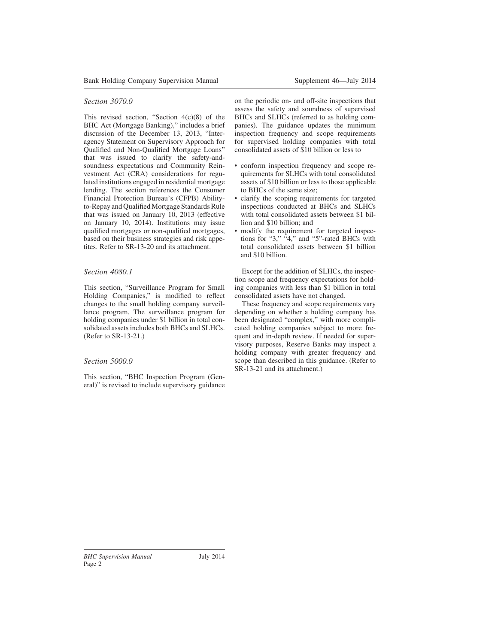## *Section 3070.0*

This revised section, "Section  $4(c)(8)$  of the BHC Act (Mortgage Banking)," includes a brief discussion of the December 13, 2013, "Interagency Statement on Supervisory Approach for Qualified and Non-Qualified Mortgage Loans" that was issued to clarify the safety-andsoundness expectations and Community Reinvestment Act (CRA) considerations for regulated institutions engaged in residential mortgage lending. The section references the Consumer Financial Protection Bureau's (CFPB) Abilityto-Repay and Qualified Mortgage Standards Rule that was issued on January 10, 2013 (effective on January 10, 2014). Institutions may issue qualified mortgages or non-qualified mortgages, based on their business strategies and risk appetites. Refer to SR-13-20 and its attachment.

#### *Section 4080.1*

This section, "Surveillance Program for Small Holding Companies," is modified to reflect changes to the small holding company surveillance program. The surveillance program for holding companies under \$1 billion in total consolidated assets includes both BHCs and SLHCs. (Refer to SR-13-21.)

## *Section 5000.0*

This section, "BHC Inspection Program (General)" is revised to include supervisory guidance on the periodic on- and off-site inspections that assess the safety and soundness of supervised BHCs and SLHCs (referred to as holding companies). The guidance updates the minimum inspection frequency and scope requirements for supervised holding companies with total consolidated assets of \$10 billion or less to

- conform inspection frequency and scope requirements for SLHCs with total consolidated assets of \$10 billion or less to those applicable to BHCs of the same size;
- clarify the scoping requirements for targeted inspections conducted at BHCs and SLHCs with total consolidated assets between \$1 billion and \$10 billion; and
- modify the requirement for targeted inspections for "3," "4," and "5"-rated BHCs with total consolidated assets between \$1 billion and \$10 billion.

Except for the addition of SLHCs, the inspection scope and frequency expectations for holding companies with less than \$1 billion in total consolidated assets have not changed.

These frequency and scope requirements vary depending on whether a holding company has been designated "complex," with more complicated holding companies subject to more frequent and in-depth review. If needed for supervisory purposes, Reserve Banks may inspect a holding company with greater frequency and scope than described in this guidance. (Refer to SR-13-21 and its attachment.)